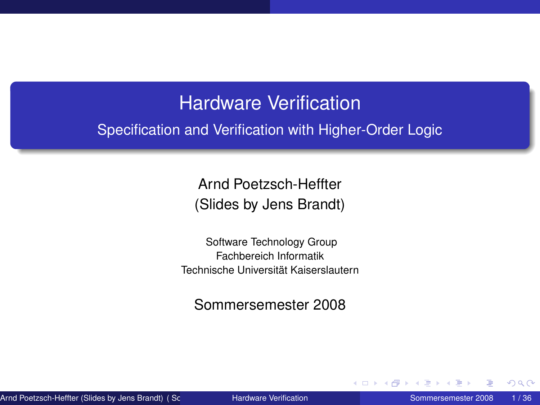### Hardware Verification

Specification and Verification with Higher-Order Logic

Arnd Poetzsch-Heffter (Slides by Jens Brandt)

Software Technology Group Fachbereich Informatik Technische Universität Kaiserslautern

Sommersemester 2008

<span id="page-0-0"></span>4 0 8 4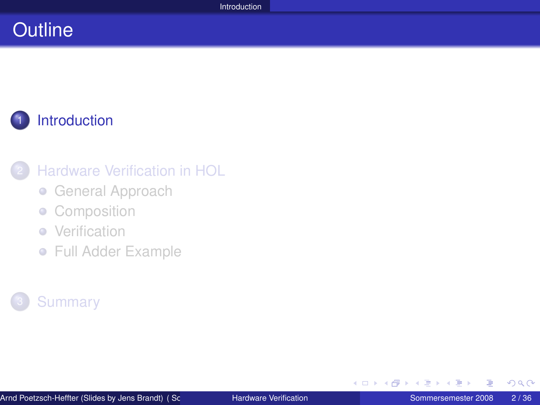# **Outline**

# **[Introduction](#page-1-0)**

### **[Hardware Verification in HOL](#page-4-0)**

- **[General Approach](#page-5-0)**
- **[Composition](#page-10-0)**
- [Verification](#page-16-0)  $\bullet$
- [Full Adder Example](#page-24-0)

### **[Summary](#page-33-0)**

<span id="page-1-0"></span> $2Q$ 

イロト (例) イヨト (目)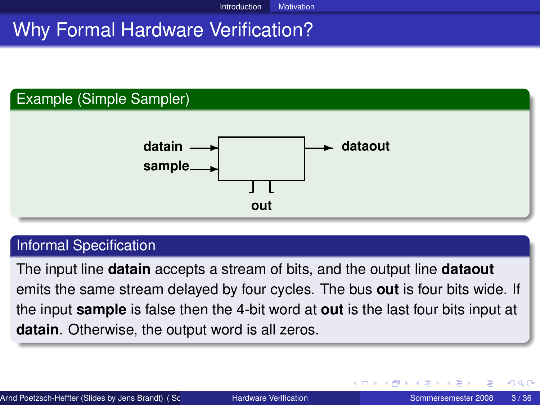# Why Formal Hardware Verification?



#### Informal Specification

The input line **datain** accepts a stream of bits, and the output line **dataout** emits the same stream delayed by four cycles. The bus **out** is four bits wide. If the input **sample** is false then the 4-bit word at **out** is the last four bits input at **datain**. Otherwise, the output word is all zeros.

イロト イ母 トイヨ トイヨ ト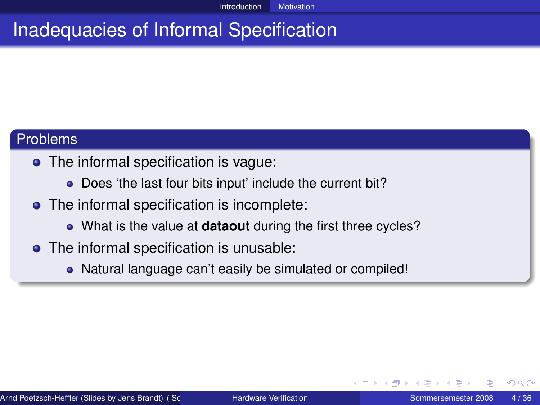# Inadequacies of Informal Specification

#### Problems

- The informal specification is vague:
	- Does 'the last four bits input' include the current bit?
- The informal specification is incomplete:
	- What is the value at **dataout** during the first three cycles?
- The informal specification is unusable:
	- Natural language can't easily be simulated or compiled!

<span id="page-3-0"></span>つへへ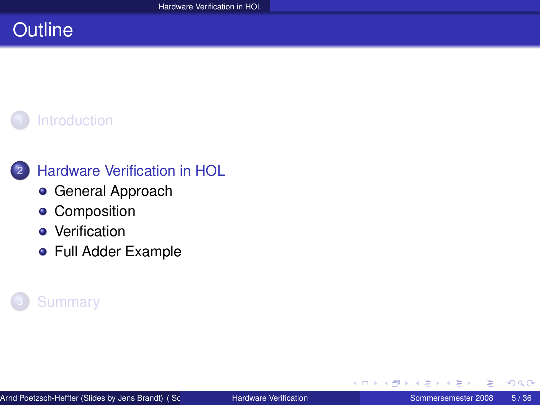# **Outline**





### 2 [Hardware Verification in HOL](#page-4-0)

- [General Approach](#page-5-0)
- **•** [Composition](#page-10-0)
- **•** [Verification](#page-16-0)
- [Full Adder Example](#page-24-0)



<span id="page-4-0"></span>重

4 0 8 4 同  $\mathbf{F} = \mathbf{d}$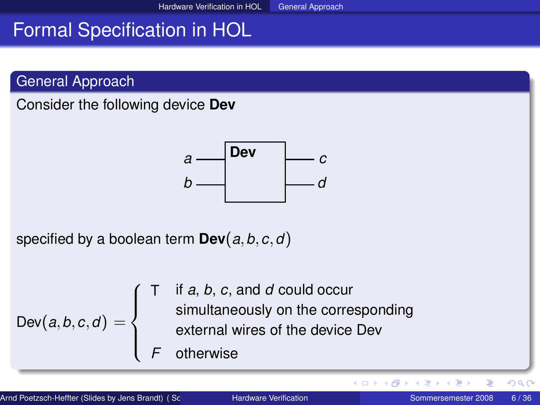# Formal Specification in HOL

General Approach

Consider the following device **Dev**



specified by a boolean term **Dev**(*a*,*b*,*c*,*d*)

$$
Dev(a, b, c, d) = \begin{cases} T & \text{if } a, b, c, \text{ and } d \text{ could occur} \\ & \text{simultaneously on the corresponding external wires of the device Dev} \\ F & \text{otherwise} \end{cases}
$$

E

<span id="page-5-0"></span> $2Q$ 

イロト (個) (注) (注)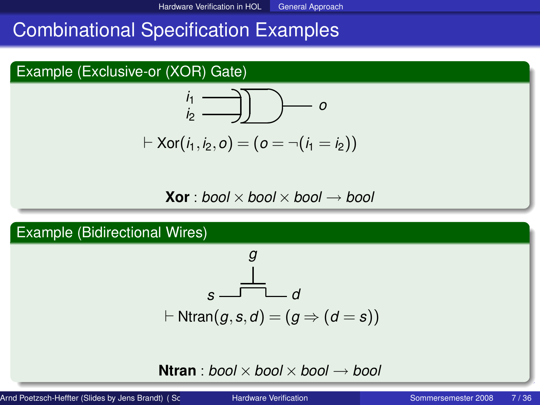# Combinational Specification Examples

### Example (Exclusive-or (XOR) Gate)



$$
\vdash \text{Xor}(i_1, i_2, o) = (o = \neg(i_1 = i_2))
$$

$$
\textbf{Xor}: \textit{bool} \times \textit{bool} \times \textit{bool} \longrightarrow \textit{bool}
$$

Example (Bidirectional Wires)

g  
\n
$$
\underline{\underline{\qquad}} \qquad d
$$
\n
$$
\vdash \text{Ntran}(g, s, d) = (g \Rightarrow (d = s))
$$

**Ntran** : *[b](#page-5-0)o[ol](#page-7-0)*  $\times$  *bool*  $\times$  *bool*  $\rightarrow$  *bool* 

Arnd Poetzsch-Heffter (Slides by Jens Brandt) ( Software Techn[ology Group Fachbereic](#page-0-0)h Informatik Technische Universität Kaiserslautern) Hardware Verification Sommersemester 2008 7 / 36

<span id="page-6-0"></span>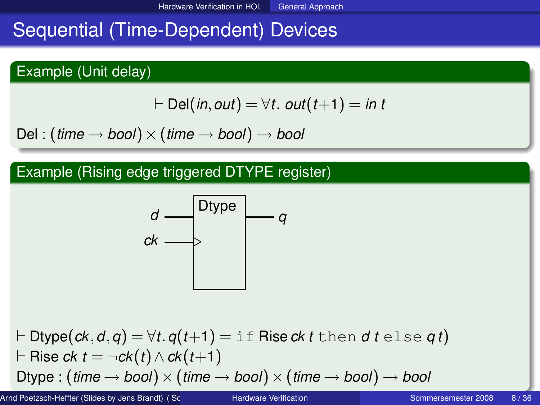# Sequential (Time-Dependent) Devices

### Example (Unit delay)

$$
\vdash \mathsf{Del}(in,out)=\forall t.\ out(t+1)=\mathsf{in}\ t
$$

 $Del: (time \rightarrow bool) \times (time \rightarrow bool) \rightarrow bool$ 

### Example (Rising edge triggered DTYPE register)

<span id="page-7-0"></span>
$$
\begin{array}{c}\n d \longrightarrow^{\text{Dtype}} \\
 \hline\n c \land \longrightarrow^{\text{Dtype}} \\
 \hline\n \end{array}
$$

 $\vdash$  **Dtype(***ck*,*d*,*q*) =  $\forall$ *t*.*q*(*t*+1) = if Rise *ck t* then *d t* else *qt*)  $⊩$  Rise *ck*  $t = \neg c k(t) \land c k(t+1)$ Dtype :  $(\text{time} \rightarrow \text{bool}) \times (\text{time} \rightarrow \text{bool}) \times (\text{time} \rightarrow \text{bool}) \rightarrow \text{bool}$  $(\text{time} \rightarrow \text{bool}) \times (\text{time} \rightarrow \text{bool}) \times (\text{time} \rightarrow \text{bool}) \rightarrow \text{bool}$  $(\text{time} \rightarrow \text{bool}) \times (\text{time} \rightarrow \text{bool}) \times (\text{time} \rightarrow \text{bool}) \rightarrow \text{bool}$  $(\text{time} \rightarrow \text{bool}) \times (\text{time} \rightarrow \text{bool}) \times (\text{time} \rightarrow \text{bool}) \rightarrow \text{bool}$  $(\text{time} \rightarrow \text{bool}) \times (\text{time} \rightarrow \text{bool}) \times (\text{time} \rightarrow \text{bool}) \rightarrow \text{bool}$  $(\text{time} \rightarrow \text{bool}) \times (\text{time} \rightarrow \text{bool}) \times (\text{time} \rightarrow \text{bool}) \rightarrow \text{bool}$  $(\text{time} \rightarrow \text{bool}) \times (\text{time} \rightarrow \text{bool}) \times (\text{time} \rightarrow \text{bool}) \rightarrow \text{bool}$  $(\text{time} \rightarrow \text{bool}) \times (\text{time} \rightarrow \text{bool}) \times (\text{time} \rightarrow \text{bool}) \rightarrow \text{bool}$  $(\text{time} \rightarrow \text{bool}) \times (\text{time} \rightarrow \text{bool}) \times (\text{time} \rightarrow \text{bool}) \rightarrow \text{bool}$  $(\text{time} \rightarrow \text{bool}) \times (\text{time} \rightarrow \text{bool}) \times (\text{time} \rightarrow \text{bool}) \rightarrow \text{bool}$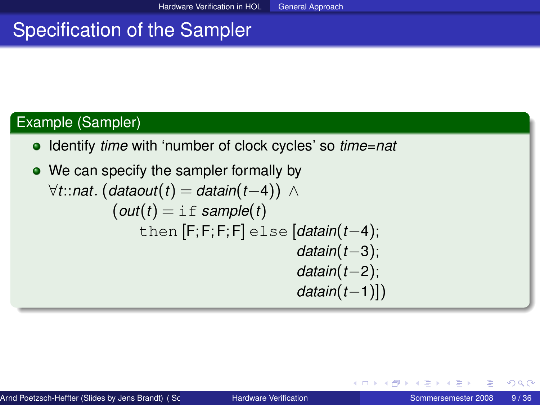# Specification of the Sampler

### Example (Sampler)

- Identify *time* with 'number of clock cycles' so *time*=*nat*
- <span id="page-8-0"></span>• We can specify the sampler formally by ∀*t*::*nat*. (*dataout*(*t*) = *datain*(*t*−4)) ∧  $($ *out* $(t)$  = if *sample* $(t)$ then [F;F;F;F] else [*datain*(*t*−4); *datain*(*t*−3); *datain*(*t*−2); *datain*(*t*−1)])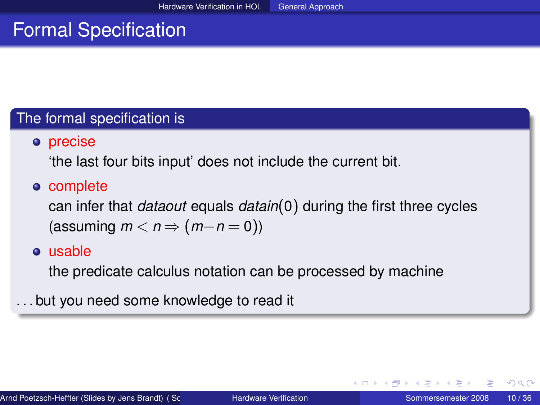# Formal Specification

#### The formal specification is

### o precise

'the last four bits input' does not include the current bit.

### • complete

can infer that *dataout* equals *datain*(0) during the first three cycles  $(\text{assuming } m < n \Rightarrow (m-n=0))$ 

#### usable

the predicate calculus notation can be processed by machine

. . . but you need some knowledge to read it

イロト イ母 トイヨ トイヨ ト

<span id="page-9-0"></span> $QQ$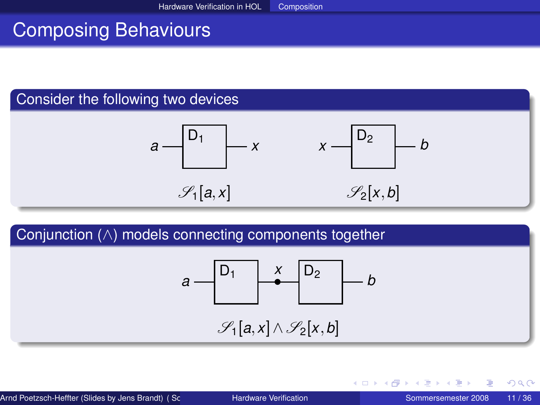# Composing Behaviours

### Consider the following two devices



### Conjunction (∧) models connecting components together

$$
a \xrightarrow{\begin{bmatrix} D_1 & x \\ & \bullet \end{bmatrix}} b
$$
\n
$$
\mathscr{S}_1[a, x] \wedge \mathscr{S}_2[x, b]
$$

<span id="page-10-0"></span> $2Q$ 

イロト (個) (注) (注)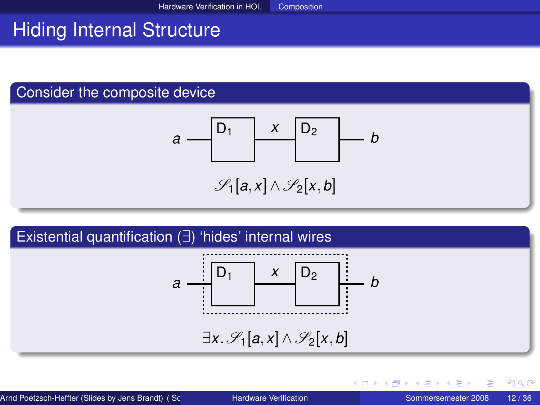# Hiding Internal Structure

### Consider the composite device

$$
a \xrightarrow{\begin{bmatrix} D_1 & x & D_2 \\ & & \end{bmatrix}} b
$$

$$
\mathscr{S}_1[a,x]\wedge\mathscr{S}_2[x,b]
$$

# Existential quantification (∃) 'hides' internal wires  $D_1$  |  $X$  |  $D_2$ *a* + |  $\rightarrow$  |  $\rightarrow$  |  $\rightarrow$  |  $\rightarrow$  *b x* ∃*x*.  $\mathscr{S}_1[a,x]$  ∧  $\mathscr{S}_2[x,b]$

∢ ロ ▶ ∢ 御 ▶ ∢ 重 ▶ ∢ 重 ▶

 $QQ$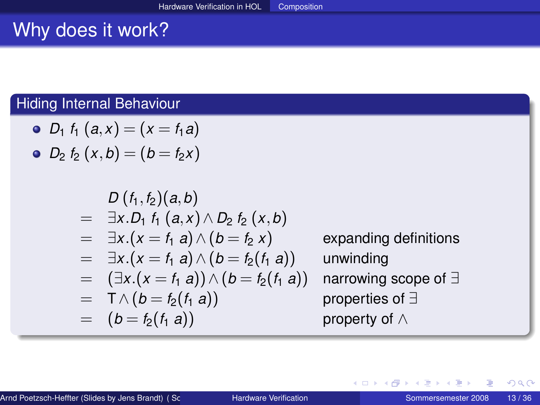# Why does it work?

### Hiding Internal Behaviour

• 
$$
D_1 f_1(a,x) = (x = f_1 a)
$$

• 
$$
D_2 f_2(x,b) = (b = f_2 x)
$$

$$
D (f_1, f_2) (a, b)
$$
  
=  $\exists x . D_1 f_1 (a, x) \land D_2 f_2 (x, b)$   
=  $\exists x . (x = f_1 a) \land (b = f_2 x)$  expanding definitions  
=  $\exists x . (x = f_1 a) \land (b = f_2(f_1 a))$  unwinding  
=  $(\exists x . (x = f_1 a)) \land (b = f_2(f_1 a))$  narrowing scope of  $\exists$   
=  $\top \land (b = f_2(f_1 a))$  property of  $\land$ 

重

 $299$ 

イロト (個) (注) (注)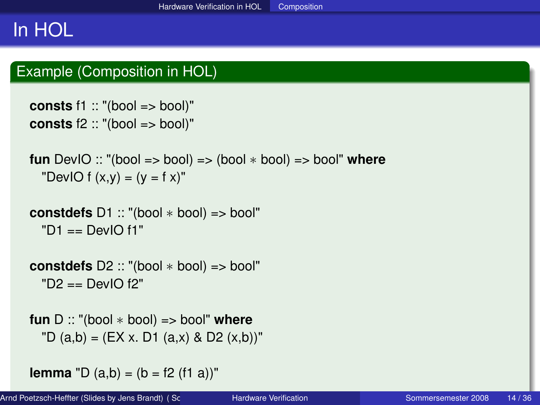# In HOL

### Example (Composition in HOL)

```
consts f1 :: "(bool => bool)"
consts f2 :: "(bool => bool)"
```

```
fun DevIO :: "(bool => bool) => (bool ∗ bool) => bool" where
 "DevIO f(x,y) = (y = f x)"
```

```
constdefs D1 :: "(bool ∗ bool) => bool"
 "D1 == DevIO f1"
```

```
constdefs D2 :: "(bool ∗ bool) => bool"
 "D2 == DevIO f2"
```

```
fun D :: "(bool ∗ bool) => bool" where
 'D (a,b) = (EX x. D1 (a.x) & D2 (x,b))"
```

```
lemma "D (a,b) = (b = f2 (f1 a))"
```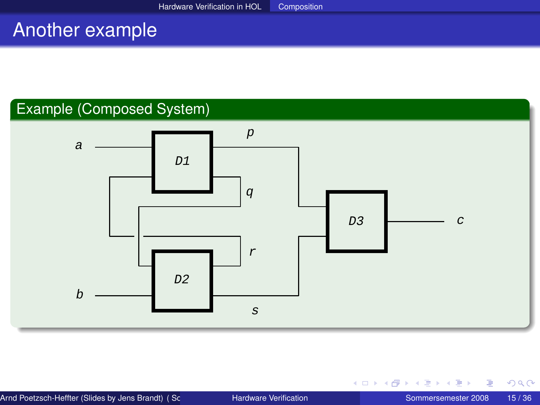#### Another example Theorem Proving Perspective Activities Activities Activities Activities Activities Activities Activities Activities Activities Activities Activities Activities Activities Activities Activities Activities Activities Activit

### Example (Composed System)



扂

<span id="page-14-0"></span> $299$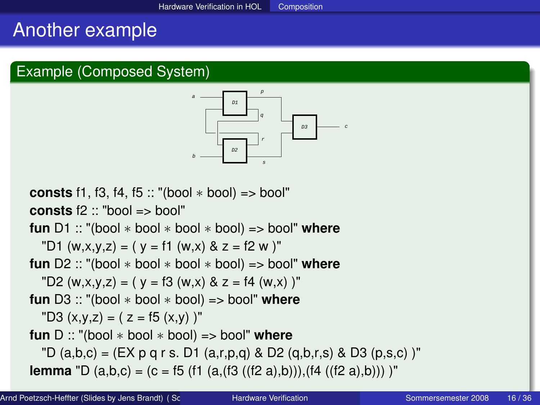### Another example

### Example (Composed System)

<span id="page-15-0"></span>

**consts** f1, f3, f4, f5  $::$  "(bool  $*$  bool) => bool" **consts** f2 :: "bool => bool" **fun** D1 :: "(bool ∗ bool ∗ bool ∗ bool) => bool" **where** "D1 (w,x,y,z) = ( y = f1 (w,x) & z = f2 w )" **fun** D2 :: "(bool ∗ bool ∗ bool ∗ bool) => bool" **where**<br>"D2 (w x y z) = ( y = f3 (w x) & z = f4 (w x))" "D3  $(x,y,z) = ( z = f5 (x,y) )$ " "D2  $(w,x,y,z) = (y = f3(w,x) \& z = f4(w,x))$ " **fun** D3 :: "(bool ∗ bool ∗ bool) => bool" **where fun** D :: "(bool ∗ bool ∗ bool) => bool" **where** "D (a,b,c) = (EX p q r s. D1 (a,r,p,q) & D2 (q,b,r,s) & D3 (p,s,c))" **lemma** "D (a,b,c) = (c = f5 (f1 (a,(f3 ((f2 [a\)](#page-14-0),[b\)\)](#page-16-0)[\)](#page-14-0),(f4 ((f2 a),b))) [\)"](#page-15-0)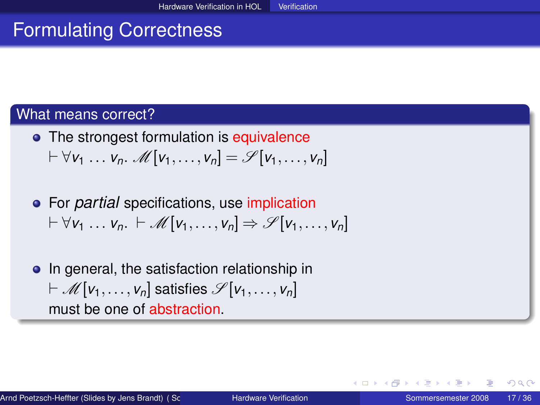# Formulating Correctness

### What means correct?

- The strongest formulation is equivalence  $\forall v_1 ... v_n$ . M[ $v_1,..., v_n$ ] =  $\mathscr{S}[v_1,..., v_n]$
- For *partial* specifications, use implication  $\forall v_1 \dots v_n$ .  $\vdash \mathcal{M}[v_1, \dots, v_n] \Rightarrow \mathcal{S}[v_1, \dots, v_n]$
- In general, the satisfaction relationship in  $\vdash \mathcal{M}[v_1,\ldots,v_n]$  satisfies  $\mathcal{S}[v_1,\ldots,v_n]$ must be one of abstraction.

<span id="page-16-0"></span>イロト イ母 トイヨ トイヨ トーヨ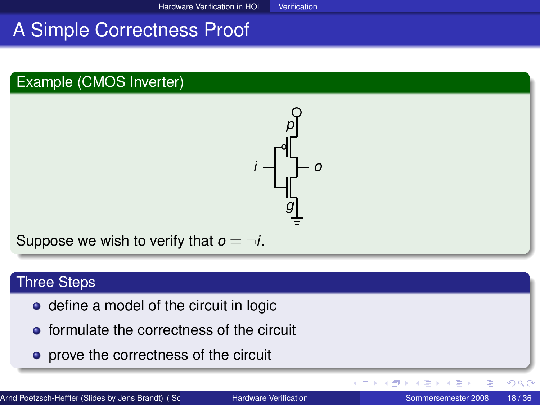# A Simple Correctness Proof

### Example (CMOS Inverter)



Suppose we wish to verify that  $o = \neg i$ .

#### Three Steps

- define a model of the circuit in logic
- **•** formulate the correctness of the circuit
- **•** prove the correctness of the circuit

E

 $2Q$ 

**◆ロト→ 伊ト→ モト→ モ**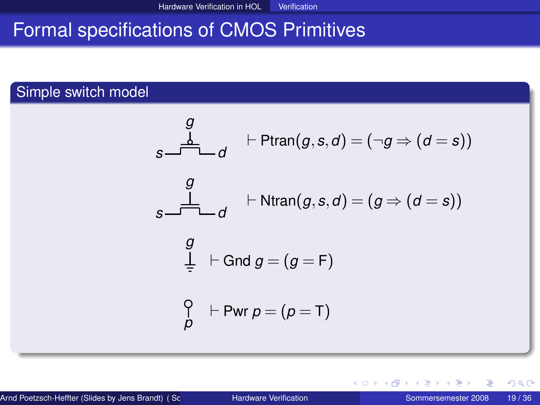# Formal specifications of CMOS Primitives

### Simple switch model

$$
g \qquad \qquad \frac{d}{d} \qquad \qquad \vdash \text{Ptran}(g, s, d) = (\neg g \Rightarrow (d = s))
$$
\n
$$
g \qquad \qquad \frac{d}{d} \qquad \qquad \vdash \text{Ntran}(g, s, d) = (g \Rightarrow (d = s))
$$
\n
$$
g \qquad \qquad \frac{d}{d} \qquad \vdash \text{Gnd } g = (g = F)
$$
\n
$$
\begin{array}{c} \bigcirc \\ \bigcirc \\ p \qquad \qquad \vdash \text{Pwr } p = (p = T) \end{array}
$$

メイモメイモメ

 $\leftarrow$   $\Box$   $\rightarrow$   $\leftarrow$   $\Box$ 

重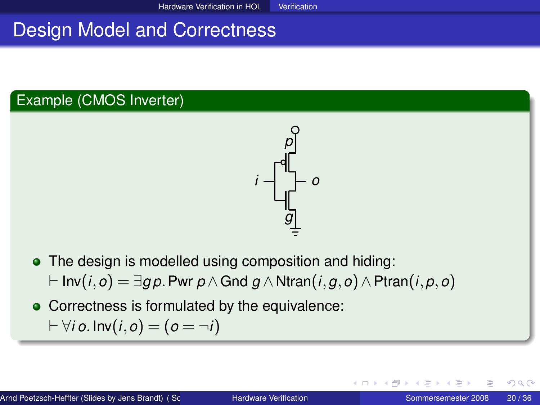# Design Model and Correctness

### Example (CMOS Inverter)



- The design is modelled using composition and hiding:
	- ` Inv(*i*,*o*) = ∃*g p*.Pwr *p*∧Gnd *g* ∧ Ntran(*i*,*g*,*o*)∧Ptran(*i*,*p*,*o*)
- Correctness is formulated by the equivalence:

$$
\vdash \forall i \, o. \, \text{Inv}(i, o) = (o = \neg i)
$$

つへへ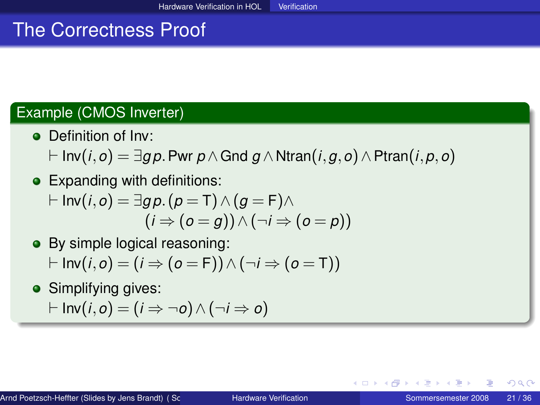# The Correctness Proof

### Example (CMOS Inverter)

- Definition of Inv:
	- ` Inv(*i*,*o*) = ∃*g p*.Pwr *p*∧Gnd *g* ∧ Ntran(*i*,*g*,*o*)∧Ptran(*i*,*p*,*o*)
- Expanding with definitions:

$$
\vdash \mathsf{Inv}(i, o) = \exists g \, \rho \ldotp (\rho = \mathsf{T}) \land (g = \mathsf{F}) \land (i \Rightarrow (o = g)) \land (\neg i \Rightarrow (o = \rho))
$$

• By simple logical reasoning:

$$
\vdash \mathsf{Inv}(i, o) = (i \Rightarrow (o = F)) \land (\neg i \Rightarrow (o = T))
$$

• Simplifying gives:

$$
\vdash \mathsf{Inv}(i, o) = (i \Rightarrow \neg o) \land (\neg i \Rightarrow o)
$$

K ロ ト K 何 ト K ヨ ト K ヨ ト …

 $QQ$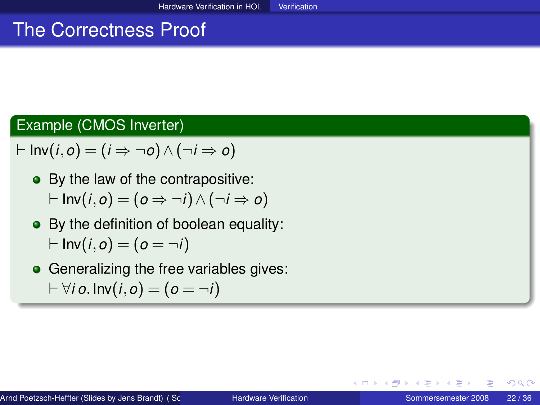# The Correctness Proof

### Example (CMOS Inverter)

$$
\vdash \mathsf{Inv}(i, o) = (i \Rightarrow \neg o) \land (\neg i \Rightarrow o)
$$

- By the law of the contrapositive:  $\vdash$  Inv(*i*, *o*) = (*o* ⇒ ¬*i*)∧(¬*i* ⇒ *o*)
- By the definition of boolean equality:  $\vdash$  Inv(*i*, *o*) = (*o* =  $\neg$ *i*)
- **•** Generalizing the free variables gives:  $\digamma$   $\forall$ *i*  $o$ . Inv(*i*,  $o$ ) = ( $o = \neg i$ )

∢ □ ▶ ∢ 何 ▶ ∢ ∃ ▶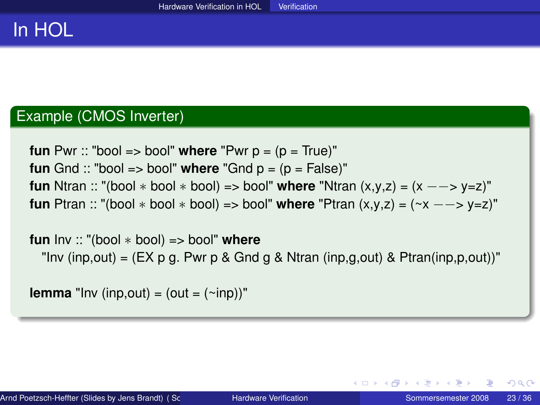# In HOL

#### Example (CMOS Inverter)

```
fun Pwr :: "bool => bool" where "Pwr p = (p = True)"
fun Gnd :: "bool => bool" where "Gnd p = (p = False)"
fun Ntran :: "(bool ∗ bool ∗ bool) => bool" where "Ntran (x,y,z) = (x −−> y=z)"
fun Ptran :: "(bool * bool * bool) => bool" where "Ptran (x,y,z) = (-x - y)"
```
**fun** Inv :: "(bool ∗ bool) => bool" **where** "Inv (inp,out) =  $(EX \, p \, q$ . Pwr p & Gnd g & Ntran (inp,g,out) & Ptran(inp,p,out))"

**lemma** "Inv (inp, out) = (out =  $(\sim$ inp))"

イロト イ母 トイラ トイラ トーラ

 $QQ$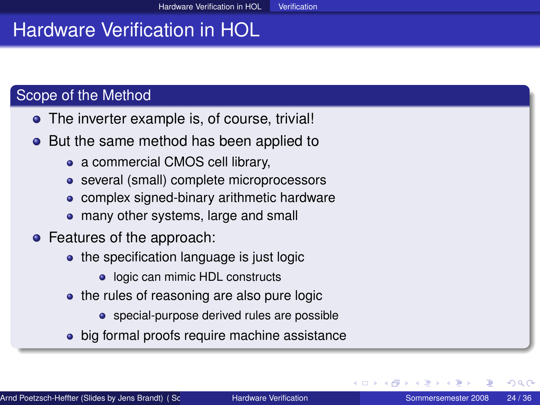# Hardware Verification in HOL

### Scope of the Method

- The inverter example is, of course, trivial!
- But the same method has been applied to
	- a commercial CMOS cell library,
	- several (small) complete microprocessors
	- complex signed-binary arithmetic hardware
	- many other systems, large and small
- Features of the approach:
	- the specification language is just logic
		- logic can mimic HDL constructs
	- the rules of reasoning are also pure logic
		- special-purpose derived rules are possible
	- big formal proofs require machine assistance

<span id="page-23-0"></span>つへへ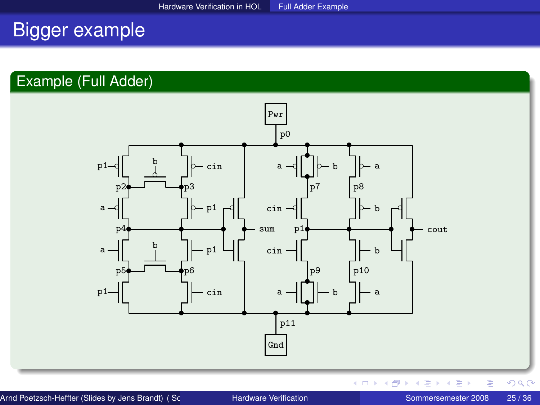# Bigger example

### Example (Full Adder)

<span id="page-24-0"></span>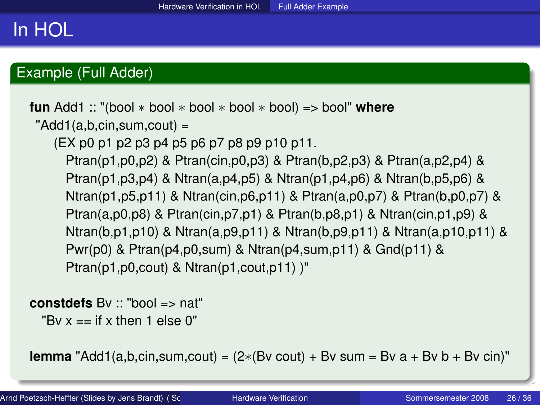# In HOL

### Example (Full Adder)

```
fun Add1 :: "(bool ∗ bool ∗ bool ∗ bool ∗ bool) => bool" where
 "Add1(a,b,cin,sum,cout) =(EX p0 p1 p2 p3 p4 p5 p6 p7 p8 p9 p10 p11.
     Ptran(p1,p0,p2) & Ptran(cin,p0,p3) & Ptran(b,p2,p3) & Ptran(a,p2,p4) &
     Ptran(p1,p3,p4) & Ntran(a,p4,p5) & Ntran(p1,p4,p6) & Ntran(b,p5,p6) &
     Ntran(p1,p5,p11) & Ntran(cin,p6,p11) & Ptran(a,p0,p7) & Ptran(b,p0,p7) &
     Ptran(a,p0,p8) & Ptran(cin,p7,p1) & Ptran(b,p8,p1) & Ntran(cin,p1,p9) &
     Ntran(b,p1,p10) & Ntran(a,p9,p11) & Ntran(b,p9,p11) & Ntran(a,p10,p11) &
     Pwr(p0) & Ptran(p4,p0,sum) & Ntran(p4,sum,p11) & Gnd(p11) &
     Ptran(p1,p0,cout) & Ntran(p1,cout,p11) )"
```
**constdefs** Bv :: "bool => nat"

<span id="page-25-0"></span>"By  $x ==$  if x then 1 else 0"

**lemma** "Add1(a,b,cin,sum,cout) =  $(2*(Bv \text{ count}) + Bv \text{ sum} = Bv a + Bv b + Bv \text{ c}iv)$ "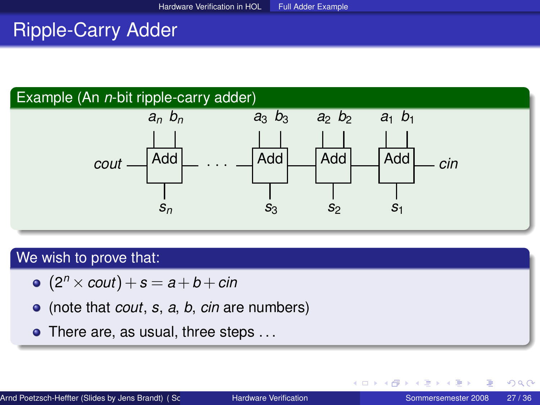# Ripple-Carry Adder

### Example (An *n*-bit ripple-carry adder)



#### We wish to prove that:

- $(2<sup>n</sup> \times \textit{cout}) + s = a + b + \textit{cin}$
- (note that *cout*, *s*, *a*, *b*, *cin* are numbers)
- There are, as usual, three steps ...

∢ ロ ▶ ∢ 御 ▶ ∢ 重 ▶ ∢ 重 ▶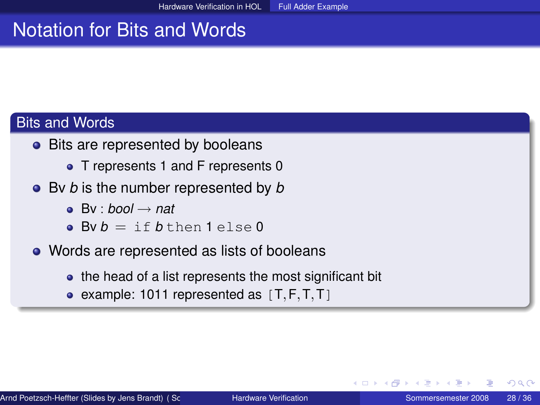# Notation for Bits and Words

### **Bits and Words**

- Bits are represented by booleans
	- T represents 1 and F represents 0
- Bv *b* is the number represented by *b*
	- $\bullet$  By  $\cdot$  *bool*  $\rightarrow$  *nat*
	- $\bullet$  By  $h = i f h + h e n 1 e l s e 0$
- Words are represented as lists of booleans
	- the head of a list represents the most significant bit
	- example: 1011 represented as  $[T, F, T, T]$

つへへ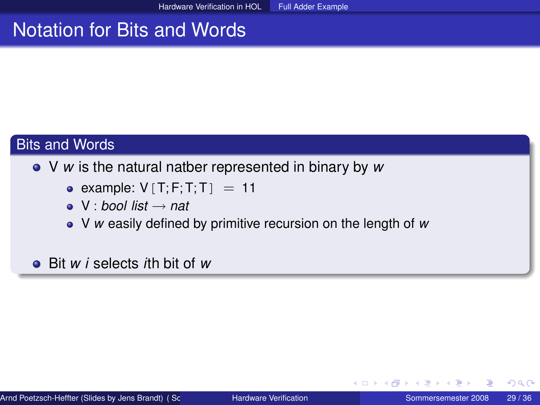# Notation for Bits and Words

### Bits and Words

### V *w* is the natural natber represented in binary by *w*

- example:  $V[T;F;T;T] = 11$
- $\bullet \; V :$  *bool list*  $\rightarrow$  *nat*
- V *w* easily defined by primitive recursion on the length of *w*

### Bit *w i* selects *i*th bit of *w*

イロト イ母 トイヨ トイヨト

 $QQ$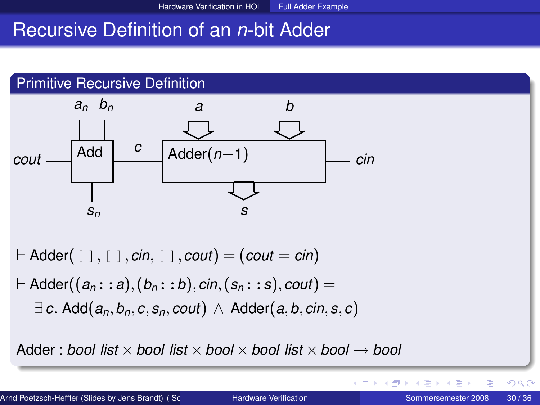## Recursive Definition of an *n*-bit Adder



Adder : *bool list* ×*bool list* ×*bool* ×*bool list* ×*bool* → *bool*

∢ ロ ▶ ∢ 御 ▶ ∢ 后 ▶ ∢ 后 ▶

E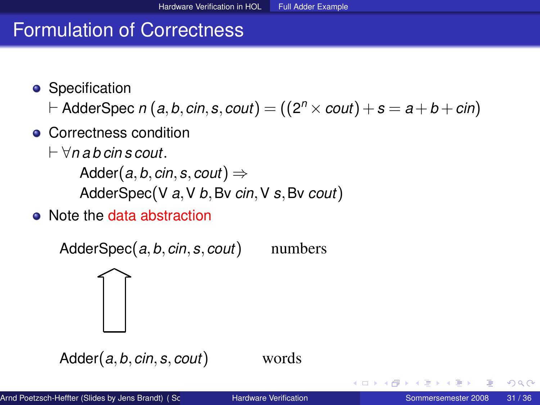# Formulation of Correctness

• Specification

 $\vdash$  AdderSpec *n*  $(a,b,c$ in,  $s,$   $c$ out $)$   $=$   $((2^n \times \textit{cout})$   $+$   $s$   $=$   $a$   $+$   $b$   $+$   $c$ in $)$ 

- **Correctness condition** 
	- ` ∀*n a b cin s cout*.

Adder(*a*, *b*, *cin*, *s*, *cout*)  $\Rightarrow$ AdderSpec(V *a*,V *b*,Bv *cin*,V *s*,Bv *cout*)

• Note the data abstraction

 $\overline{\frown}$ 

AdderSpec(*a*,*b*,*cin*,*s*,*cout*) numbers

Adder(*a*,*b*,*cin*,*s*,*cout*) words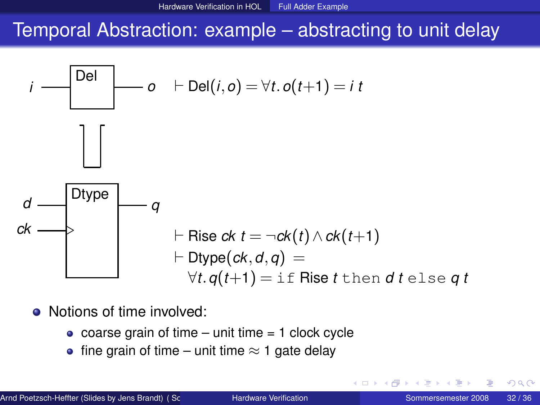### Temporal Abstraction: example – abstracting to unit delay



- Notions of time involved:
	- $\bullet$  coarse grain of time unit time = 1 clock cycle
	- fine grain of time unit time  $\approx$  1 gate delay

つへへ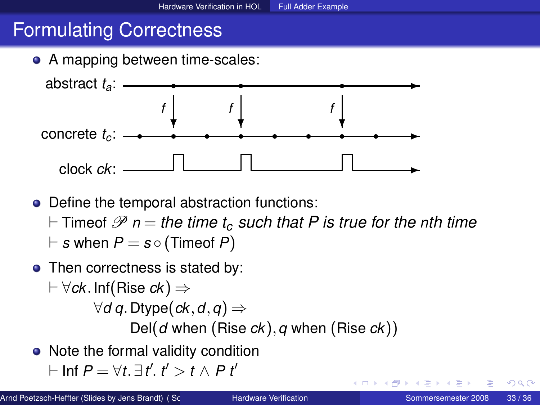# Formulating Correctness





• Define the temporal abstraction functions:

- $\vdash$  Timeof  $\mathscr P$  *n* = *the time t<sub>c</sub> such that P is true for the nth time*
- $\vdash$  *s* when  $P = s \circ ($  Timeof  $P)$
- Then correctness is stated by:
	- $\vdash$   $\forall$ *ck*. Inf(Rise *ck*)  $\Rightarrow$ ∀*d q*. Dtype(*ck*,*d*,*q*) ⇒ Del(*d* when (Rise *ck*),*q* when (Rise *ck*))
- Note the formal validity condition

$$
\vdash \mathsf{Inf}\; P = \forall t. \; \exists \, t'. \; t' > t \land P \; t'
$$

<span id="page-32-0"></span>つくへ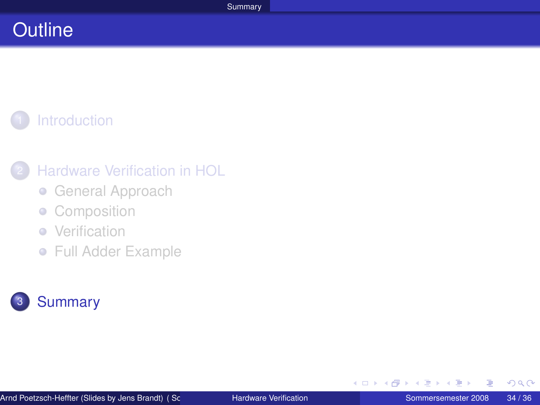# **Outline**

# **[Introduction](#page-1-0)**

### **[Hardware Verification in HOL](#page-4-0)**

- **[General Approach](#page-5-0)**
- **[Composition](#page-10-0)**
- [Verification](#page-16-0)  $\bullet$
- [Full Adder Example](#page-24-0)



<span id="page-33-0"></span>メロトメ 倒 トメ ミトメ ミ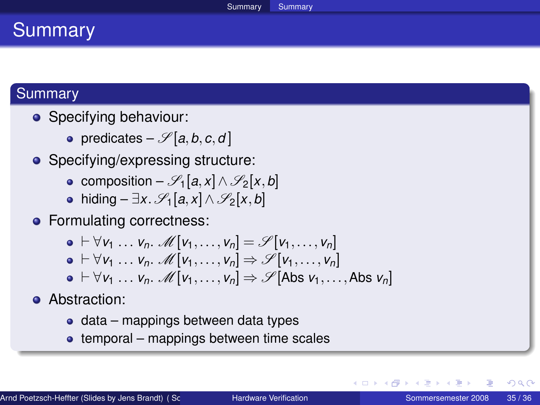### **Summary**

### **Summary**

- Specifying behaviour:
	- predicates  $-\mathscr{S}[a, b, c, d]$
- Specifying/expressing structure:
	- composition  $\mathscr{S}_1[a,x] \wedge \mathscr{S}_2[x,b]$
	- $\bullet$  hiding  $\exists x.$   $\mathscr{S}_1[a, x] \wedge \mathscr{S}_2[x, b]$
- Formulating correctness:

$$
\mathbf{0} \vdash \forall v_1 \ldots v_n. \mathcal{M}[v_1, \ldots, v_n] = \mathcal{S}[v_1, \ldots, v_n]
$$
  
\n
$$
\mathbf{0} \vdash \forall v_1 \ldots v_n. \mathcal{M}[v_1, \ldots, v_n] \Rightarrow \mathcal{S}[v_1, \ldots, v_n]
$$
  
\n
$$
\mathbf{0} \vdash \forall v_1 \ldots v_n. \mathcal{M}[v_1, \ldots, v_n] \Rightarrow \mathcal{S}[\text{Abs } v_1, \ldots, \text{Abs } v_n]
$$

- **•** Abstraction:
	- $\bullet$  data mappings between data types
	- $\bullet$  temporal mappings between time scales

イロト イ母 トイヨ トイヨト